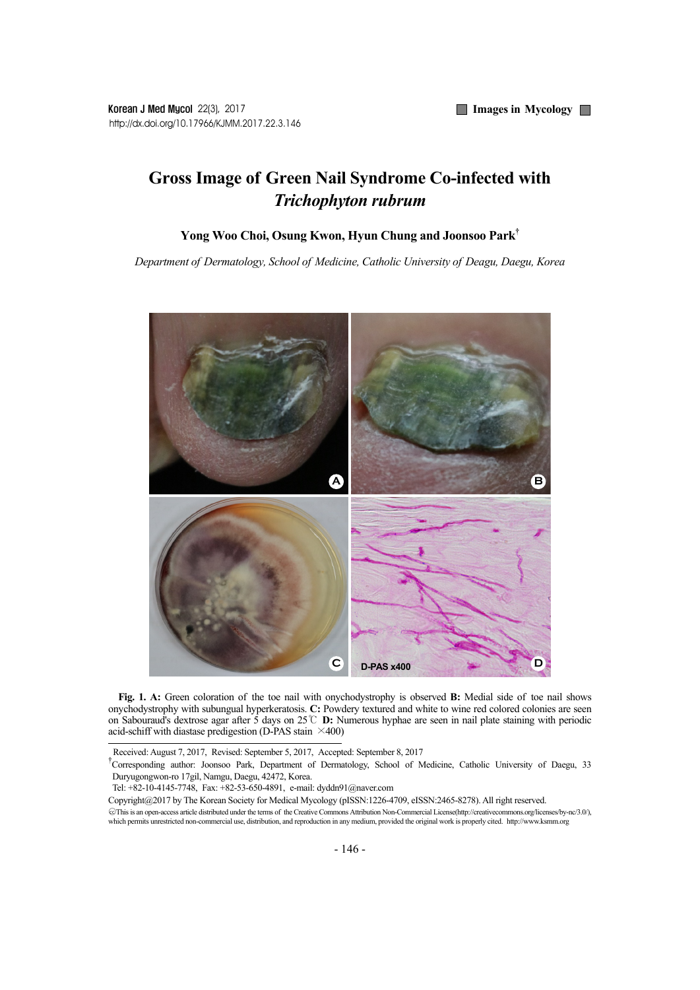# **Gross Image of Green Nail Syndrome Co-infected with**  *Trichophyton rubrum*

## **Yong Woo Choi, Osung Kwon, Hyun Chung and Joonsoo Park†**

*Department of Dermatology, School of Medicine, Catholic University of Deagu, Daegu, Korea*



**Fig. 1. A:** Green coloration of the toe nail with onychodystrophy is observed **B:** Medial side of toe nail shows onychodystrophy with subungual hyperkeratosis. **C:** Powdery textured and white to wine red colored colonies are seen on Sabouraud's dextrose agar after 5 days on 25℃ **D:** Numerous hyphae are seen in nail plate staining with periodic acid-schiff with diastase predigestion (D-PAS stain  $\times$ 400)

Received: August 7, 2017, Revised: September 5, 2017, Accepted: September 8, 2017 †

Corresponding author: Joonsoo Park, Department of Dermatology, School of Medicine, Catholic University of Daegu, 33 Duryugongwon-ro 17gil, Namgu, Daegu, 42472, Korea.

Tel: +82-10-4145-7748, Fax: +82-53-650-4891, e-mail: dyddn91@naver.com

Copyright@2017 by The Korean Society for Medical Mycology (pISSN:1226-4709, eISSN:2465-8278). All right reserved.

<sup>○</sup>cc This is an open-access article distributed under the terms of the Creative Commons Attribution Non-Commercial License(http://creativecommons.org/licenses/by-nc/3.0/), which permits unrestricted non-commercial use, distribution, and reproduction in any medium, provided the original work is properly cited. http://www.ksmm.org